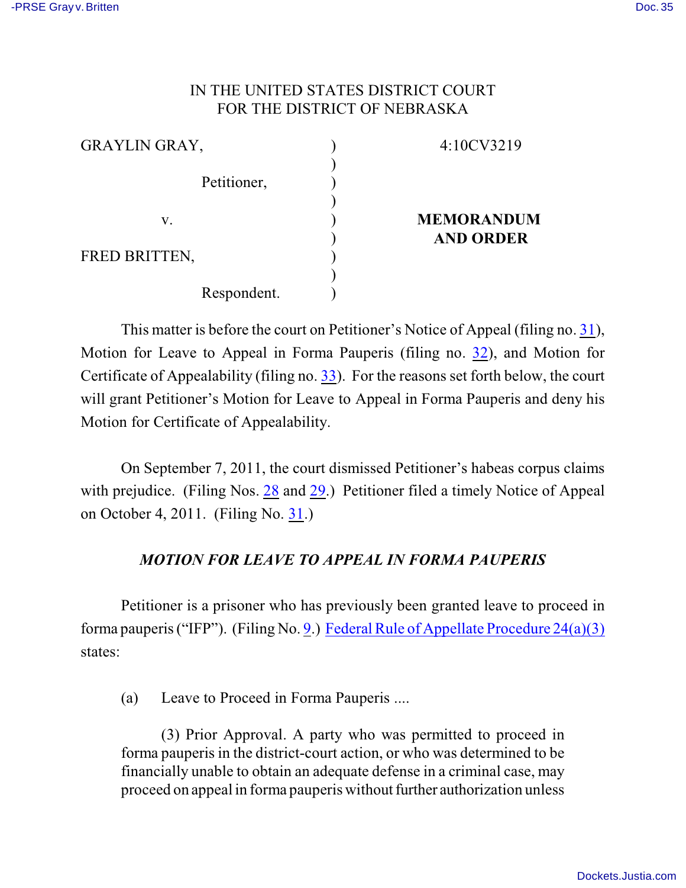## IN THE UNITED STATES DISTRICT COURT FOR THE DISTRICT OF NEBRASKA

| <b>GRAYLIN GRAY,</b> | 4:10CV3219        |
|----------------------|-------------------|
|                      |                   |
| Petitioner,          |                   |
|                      |                   |
| V.                   | <b>MEMORANDUM</b> |
|                      | <b>AND ORDER</b>  |
| FRED BRITTEN,        |                   |
|                      |                   |
| Respondent.          |                   |

This matter is before the court on Petitioner's Notice of Appeal (filing no. [31](http://ecf.ned.uscourts.gov/doc1/11302369907)), Motion for Leave to Appeal in Forma Pauperis (filing no. [32](http://ecf.ned.uscourts.gov/doc1/11302369924)), and Motion for Certificate of Appealability (filing no. [33](http://ecf.ned.uscourts.gov/doc1/11302369972)). For the reasons set forth below, the court will grant Petitioner's Motion for Leave to Appeal in Forma Pauperis and deny his Motion for Certificate of Appealability.

On September 7, 2011, the court dismissed Petitioner's habeas corpus claims with prejudice. (Filing Nos. [28](https://ecf.ned.uscourts.gov/doc1/11312351175) and [29](https://ecf.ned.uscourts.gov/doc1/11312351180).) Petitioner filed a timely Notice of Appeal on October 4, 2011. (Filing No. [31](http://ecf.ned.uscourts.gov/doc1/11302369907).)

## *MOTION FOR LEAVE TO APPEAL IN FORMA PAUPERIS*

Petitioner is a prisoner who has previously been granted leave to proceed in forma pauperis ("IFP"). (Filing No. [9](https://ecf.ned.uscourts.gov/doc1/11312161164).) [Federal Rule of Appellate Procedure 24\(a\)\(3\)](http://web2.westlaw.com/result/default.wl?rs=WLW11.10&ss=CNT&cnt=DOC&cite=frap+24&cxt=DC&service=KeyCite&fn=_top&n=1&elmap=Inline&tnprpdd=None&vr=2.0&tnprpds=TaxNewsFIT&rlt=CLID_FQRLT852844124122110&mt=Nebraska&rlti=1&migkchresultid=1&tf=0&rp=%2fKeyCite%) states:

(a) Leave to Proceed in Forma Pauperis ....

(3) Prior Approval. A party who was permitted to proceed in forma pauperis in the district-court action, or who was determined to be financially unable to obtain an adequate defense in a criminal case, may proceed on appeal in forma pauperis without further authorization unless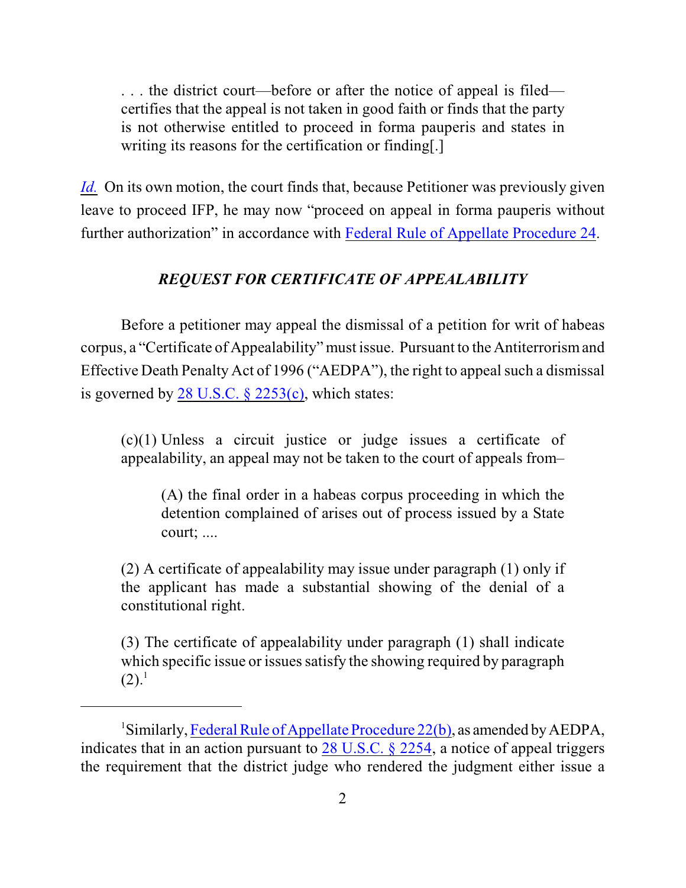. . . the district court—before or after the notice of appeal is filed certifies that the appeal is not taken in good faith or finds that the party is not otherwise entitled to proceed in forma pauperis and states in writing its reasons for the certification or finding[.]

*[Id.](http://web2.westlaw.com/result/default.wl?rs=WLW11.10&ss=CNT&cnt=DOC&cite=frap+24&cxt=DC&service=KeyCite&fn=_top&n=1&elmap=Inline&tnprpdd=None&vr=2.0&tnprpds=TaxNewsFIT&rlt=CLID_FQRLT852844124122110&mt=Nebraska&rlti=1&migkchresultid=1&tf=0&rp=%2fKeyCite%)* On its own motion, the court finds that, because Petitioner was previously given leave to proceed IFP, he may now "proceed on appeal in forma pauperis without further authorization" in accordance with [Federal Rule of Appellate Procedure 24](http://web2.westlaw.com/result/default.wl?rs=WLW11.10&ss=CNT&cnt=DOC&cite=frap+24&cxt=DC&service=KeyCite&fn=_top&n=1&elmap=Inline&tnprpdd=None&vr=2.0&tnprpds=TaxNewsFIT&rlt=CLID_FQRLT852844124122110&mt=Nebraska&rlti=1&migkchresultid=1&tf=0&rp=%2fKeyCite%).

## *REQUEST FOR CERTIFICATE OF APPEALABILITY*

Before a petitioner may appeal the dismissal of a petition for writ of habeas corpus, a "Certificate of Appealability" must issue. Pursuant to the Antiterrorism and Effective Death Penalty Act of 1996 ("AEDPA"), the right to appeal such a dismissal is governed by 28 U.S.C.  $\S$  2253(c), which states:

(c)(1) Unless a circuit justice or judge issues a certificate of appealability, an appeal may not be taken to the court of appeals from–

(A) the final order in a habeas corpus proceeding in which the detention complained of arises out of process issued by a State court; ....

(2) A certificate of appealability may issue under paragraph (1) only if the applicant has made a substantial showing of the denial of a constitutional right.

(3) The certificate of appealability under paragraph (1) shall indicate which specific issue or issues satisfy the showing required by paragraph  $(2).<sup>1</sup>$ 

<sup>&</sup>lt;sup>1</sup>Similarly, [Federal Rule of Appellate Procedure 22\(b\)](http://web2.westlaw.com/find/default.wl?rp=%2ffind%2fdefault.wl&sv=Split&utid=3&rs=WLW11.10&cite=frap+22&fn=_top&mt=EighthCircuit&vr=2.0), as amended by AEDPA, indicates that in an action pursuant to  $28$  U.S.C. §  $2254$ , a notice of appeal triggers the requirement that the district judge who rendered the judgment either issue a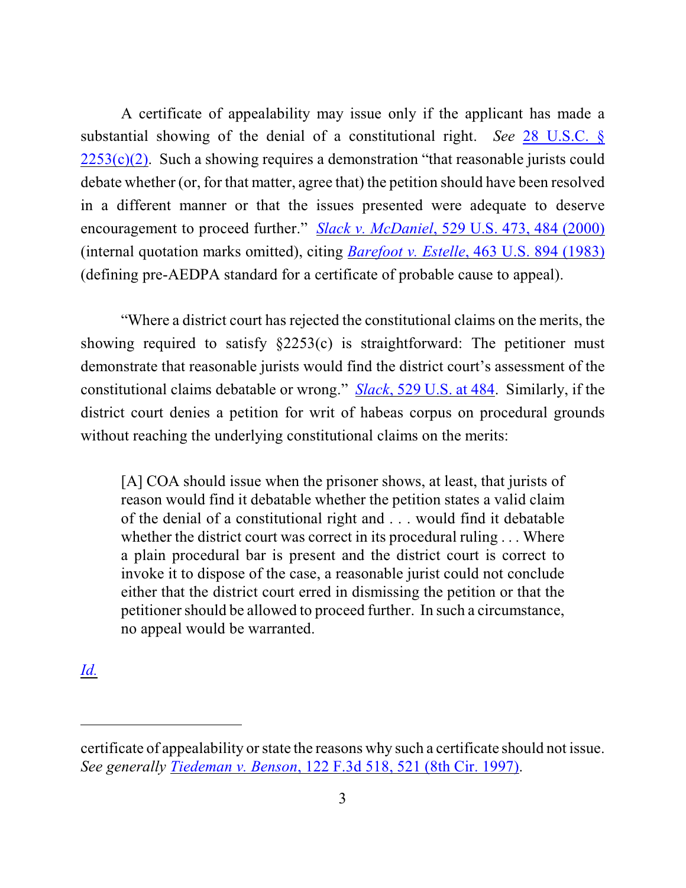A certificate of appealability may issue only if the applicant has made a substantial showing of the denial of a constitutional right. *See* [28 U.S.C. §](http://www.westlaw.com/find/default.wl?rs=CLWP3.0&vr=2.0&cite=28+USCA+s+2253%28c%29%282%29)  $2253(c)(2)$ . Such a showing requires a demonstration "that reasonable jurists could debate whether (or, for that matter, agree that) the petition should have been resolved in a different manner or that the issues presented were adequate to deserve encouragement to proceed further." *Slack v. McDaniel*[, 529 U.S. 473, 484 \(2000\)](http://www.westlaw.com/find/default.wl?rs=CLWP3.0&vr=2.0&cite=529+U.S.+473) (internal quotation marks omitted), citing *[Barefoot v. Estelle](http://www.westlaw.com/find/default.wl?rs=CLWP3.0&vr=2.0&cite=463+U.S.+894)*, 463 U.S. 894 (1983) (defining pre-AEDPA standard for a certificate of probable cause to appeal).

"Where a district court has rejected the constitutional claims on the merits, the showing required to satisfy §2253(c) is straightforward: The petitioner must demonstrate that reasonable jurists would find the district court's assessment of the constitutional claims debatable or wrong." *Slack*[, 529 U.S. at 484](http://www.westlaw.com/find/default.wl?rs=CLWP3.0&vr=2.0&cite=529+U.S.+484). Similarly, if the district court denies a petition for writ of habeas corpus on procedural grounds without reaching the underlying constitutional claims on the merits:

[A] COA should issue when the prisoner shows, at least, that jurists of reason would find it debatable whether the petition states a valid claim of the denial of a constitutional right and . . . would find it debatable whether the district court was correct in its procedural ruling . . . Where a plain procedural bar is present and the district court is correct to invoke it to dispose of the case, a reasonable jurist could not conclude either that the district court erred in dismissing the petition or that the petitioner should be allowed to proceed further. In such a circumstance, no appeal would be warranted.

*[Id.](http://www.westlaw.com/find/default.wl?rs=CLWP3.0&vr=2.0&cite=529+U.S.+484)*

certificate of appealability or state the reasons why such a certificate should not issue. *See generally Tiedeman v. Benson*[, 122 F.3d 518, 521 \(8th Cir. 1997\)](http://www.westlaw.com/find/default.wl?rs=CLWP3.0&vr=2.0&cite=122+F.3d+518).